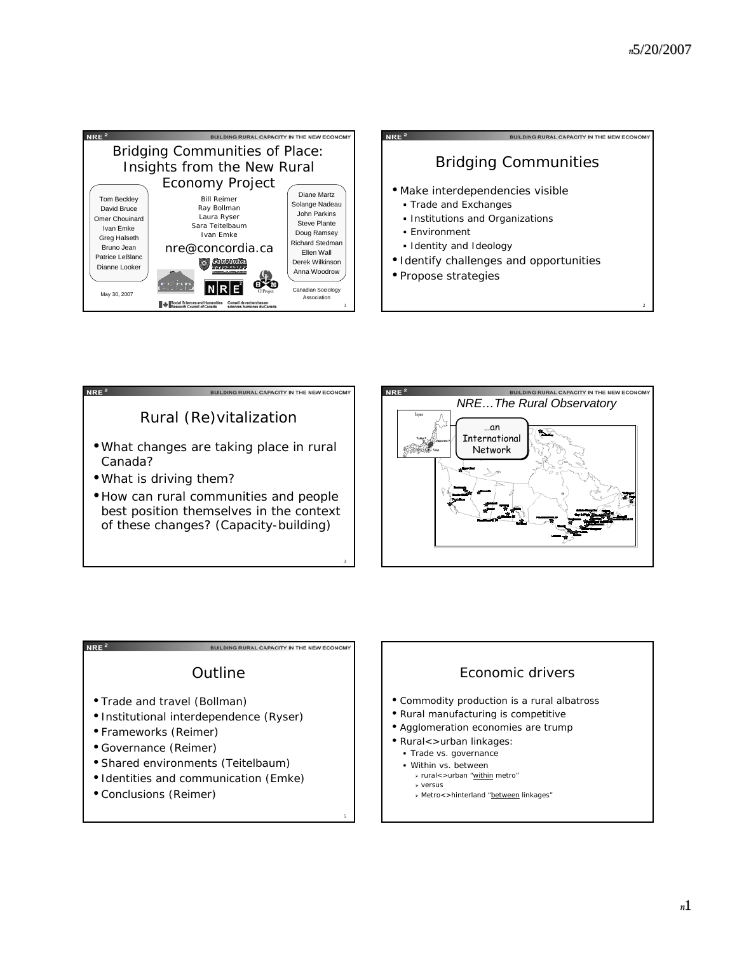







### NRE<sup>2</sup>

# **Outline**

BUILDING RURAL CAPACITY IN THE NEW ECONOM

- Trade and travel (Bollman)
- Institutional interdependence (Ryser)
- Frameworks (Reimer)
- Governance (Reimer)
- Shared environments (Teitelbaum)
- Identities and communication (Emke)
- Conclusions (Reimer)

## Economic drivers

- Commodity production is a rural albatross
- Rural manufacturing is competitive
- Agglomeration economies are trump
- Rural<>urban linkages:
	- Trade vs. governance

5

- Within vs. between
	- <sup>¾</sup> rural<>urban "within metro" <sup>¾</sup> versus
	- <sup>¾</sup> Metro<>hinterland "between linkages"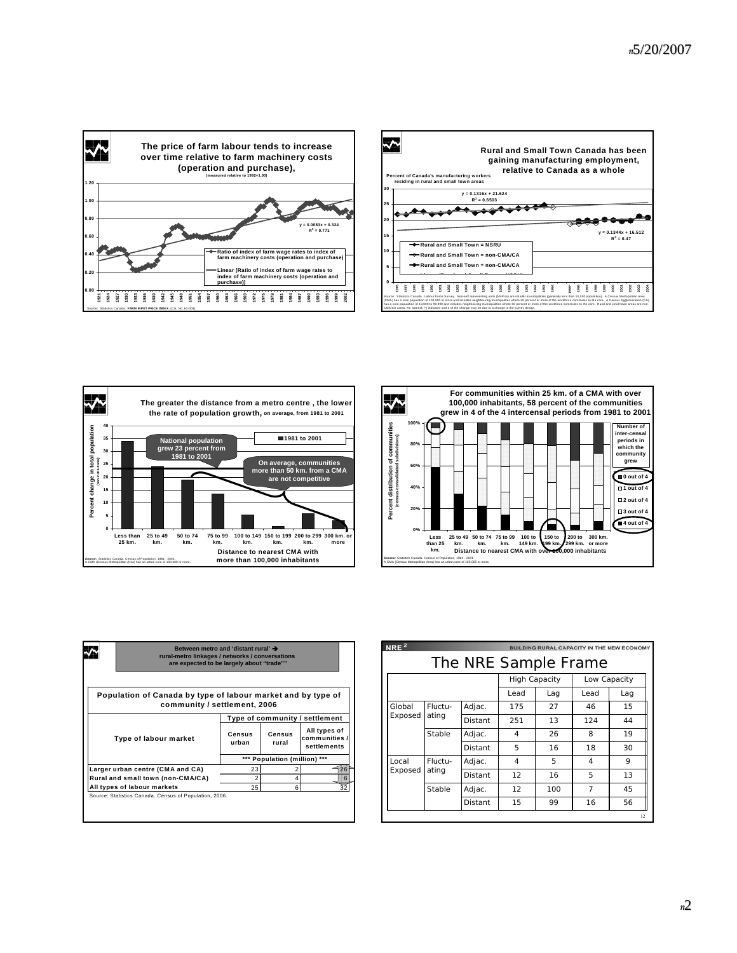







| Between metro and 'distant rural' →<br>rural-metro linkages / networks / conversations<br>are expected to be largely about "trade"" |                                   |                                |                 |                                              |  |
|-------------------------------------------------------------------------------------------------------------------------------------|-----------------------------------|--------------------------------|-----------------|----------------------------------------------|--|
| Population of Canada by type of labour market and by type of<br>community / settlement, 2006                                        |                                   |                                |                 |                                              |  |
|                                                                                                                                     |                                   | Type of community / settlement |                 |                                              |  |
| Type of labour market                                                                                                               |                                   | Census<br>urban                | Census<br>rural | All types of<br>communities /<br>settlements |  |
|                                                                                                                                     |                                   | *** Population (million) ***   |                 |                                              |  |
|                                                                                                                                     |                                   |                                |                 |                                              |  |
|                                                                                                                                     | Larger urban centre (CMA and CA)  | 23                             |                 |                                              |  |
|                                                                                                                                     | Rural and small town (non-CMA/CA) | $\overline{\mathbf{c}}$        | 4               |                                              |  |

| NRE <sup>2</sup>     |                  |         |                      |      |                | BUILDING RURAL CAPACITY IN THE NEW ECONOMY |
|----------------------|------------------|---------|----------------------|------|----------------|--------------------------------------------|
| The NRE Sample Frame |                  |         |                      |      |                |                                            |
|                      |                  |         | <b>High Capacity</b> |      | Low Capacity   |                                            |
|                      |                  | Lead    | Lag                  | Lead | Lag            |                                            |
| Global               | Fluctu-<br>ating | Adjac.  | 175                  | 27   | 46             | 15                                         |
| Exposed              |                  | Distant | 251                  | 13   | 124            | 44                                         |
|                      | Stable           | Adjac.  | 4                    | 26   | 8              | 19                                         |
|                      |                  | Distant | 5                    | 16   | 18             | 30                                         |
| Local                | Fluctu-<br>ating | Adjac.  | 4                    | 5    | 4              | 9                                          |
| Exposed              |                  | Distant | 12                   | 16   | 5              | 13                                         |
|                      | Stable           | Adjac.  | 12                   | 100  | $\overline{7}$ | 45                                         |
|                      |                  | Distant | 15                   | 99   | 16             | 56                                         |
|                      |                  |         |                      |      |                | 12                                         |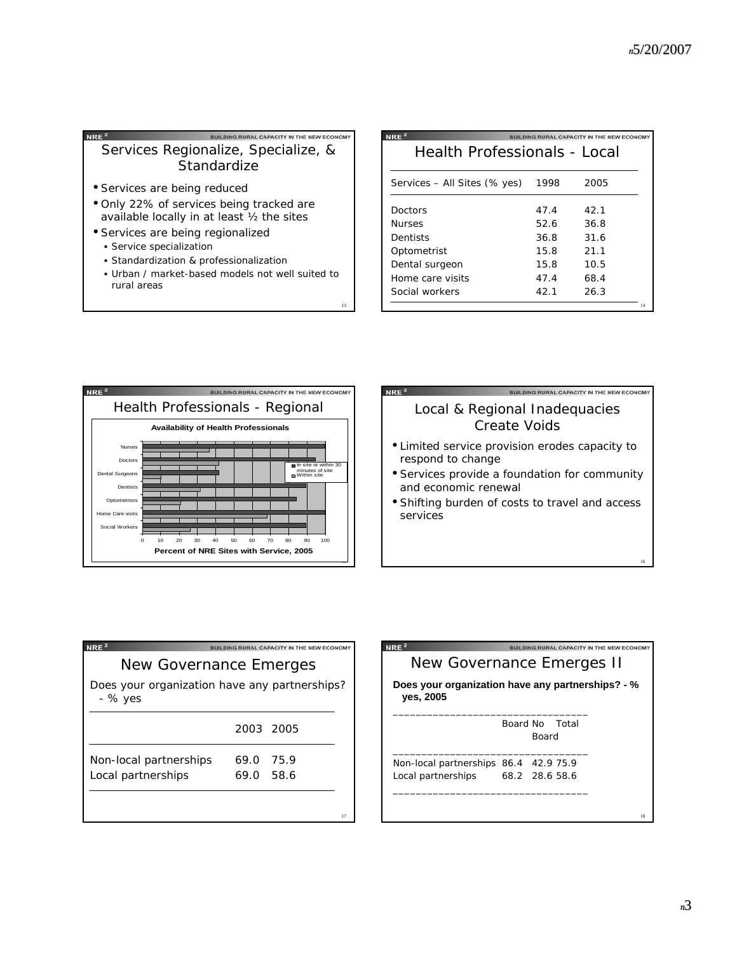## BUILDING RURAL CAPACITY IN THE NEW ECONOMY Services Regionalize, Specialize, & **Standardize**

- Services are being reduced
- Only 22% of services being tracked are available locally in at least  $\frac{1}{2}$  the sites
- Services are being regionalized
	- **Service specialization**
	- Standardization & professionalization
	- Urban / market-based models not well suited to rural areas

13

| NRE <sup>2</sup>             |      | LDING RURAL CAPACITY IN THE NEW ECONOMY |  |  |
|------------------------------|------|-----------------------------------------|--|--|
| Health Professionals - Local |      |                                         |  |  |
|                              |      |                                         |  |  |
| Services – All Sites (% yes) | 1998 | 2005                                    |  |  |
| Doctors                      | 47.4 | 42.1                                    |  |  |
| Nurses                       | 52.6 | 36.8                                    |  |  |
| Dentists                     | 36.8 | 31.6                                    |  |  |
| Optometrist                  | 15.8 | 21.1                                    |  |  |
| Dental surgeon               | 15.8 | 10.5                                    |  |  |
| Home care visits             | 47.4 | 68.4                                    |  |  |
| Social workers               | 42.1 | 26.3                                    |  |  |
|                              |      | 14                                      |  |  |



| <b>NRE</b>                                                            |
|-----------------------------------------------------------------------|
| Local & Regional Inadequacies<br><b>Create Voids</b>                  |
| • Limited service provision erodes capacity to<br>respond to change   |
| • Services provide a foundation for community<br>and economic renewal |
| • Shifting burden of costs to travel and access<br>services           |
|                                                                       |

| NRE <sup>2</sup><br>BUILDING RURAL CAPACITY IN THE NEW ECONOMY |                |  |  |
|----------------------------------------------------------------|----------------|--|--|
| New Governance Emerges                                         |                |  |  |
| Does your organization have any partnerships?<br>- % yes       |                |  |  |
|                                                                | 2003 2005      |  |  |
| Non-local partnerships                                         | 75.9<br>69.0   |  |  |
| Local partnerships                                             | - 58.6<br>69.O |  |  |
|                                                                |                |  |  |
|                                                                | 17             |  |  |



16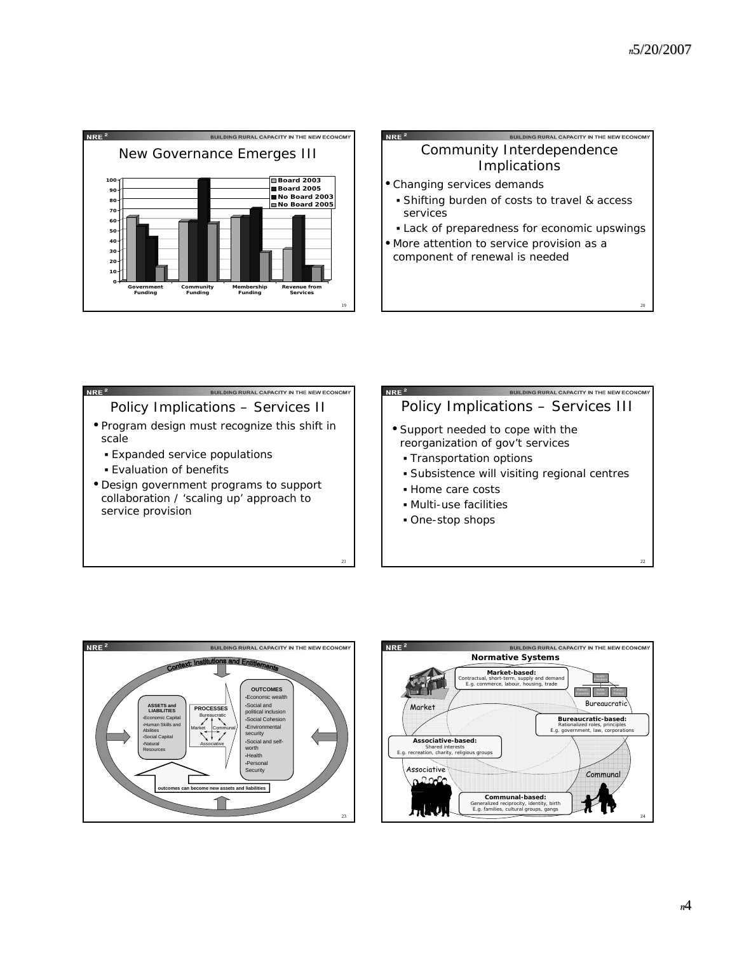20



# BUILDING RURAL CAPACITY IN THE NEW ECONOM Community Interdependence Implications

• Changing services demands

 $NRE<sup>2</sup>$ 

- Shifting burden of costs to travel & access services
- Lack of preparedness for economic upswings
- More attention to service provision as a component of renewal is needed



21

# BUILDING RURAL CAPACITY IN THE NEW ECO Policy Implications – Services III • Support needed to cope with the

- reorganization of gov't services
	- Transportation options
	- Subsistence will visiting regional centres
	- Home care costs
	- Multi-use facilities
	- One-stop shops



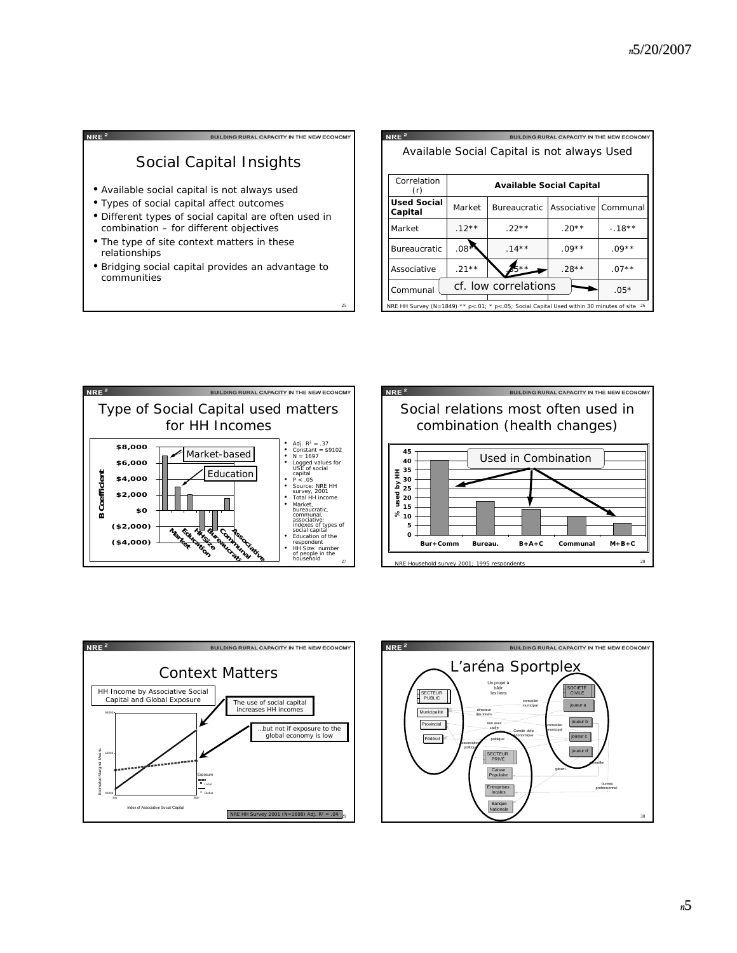| <b>RURAL CAPACITY IN THE NEW ECON</b>                                                                                                                                                         |
|-----------------------------------------------------------------------------------------------------------------------------------------------------------------------------------------------|
| Social Capital Insights                                                                                                                                                                       |
| • Available social capital is not always used<br>• Types of social capital affect outcomes<br>• Different types of social capital are often used in<br>combination - for different objectives |
| • The type of site context matters in these<br>relationships                                                                                                                                  |
| • Bridging social capital provides an advantage to<br>communities                                                                                                                             |

25

 $NRE<sup>2</sup>$ BUILDING RURAL CAPACITY IN THE NEW ECONOM Available Social Capital is not always Used **Correlation Available Social Capital** (r) Used Social | Market | Bureaucratic | Associative | Communal **Capital** Market .12\*\* .22\*\* .20\*\* .20\*\* .18\*\* Bureaucratic  $.08$  . 14\*\* .09\*\* .09\*\* Associative .21\*\*  $\sum_{n=1}^{\infty}$  .28\*\* .07\*\*  $_{\text{Command}}$  cf. low correlations  $\rightarrow$  .05\* NRE HH Survey (N=1849) \*\* p<.01; \* p<.05; Social Capital Used within 30 minutes of site 26







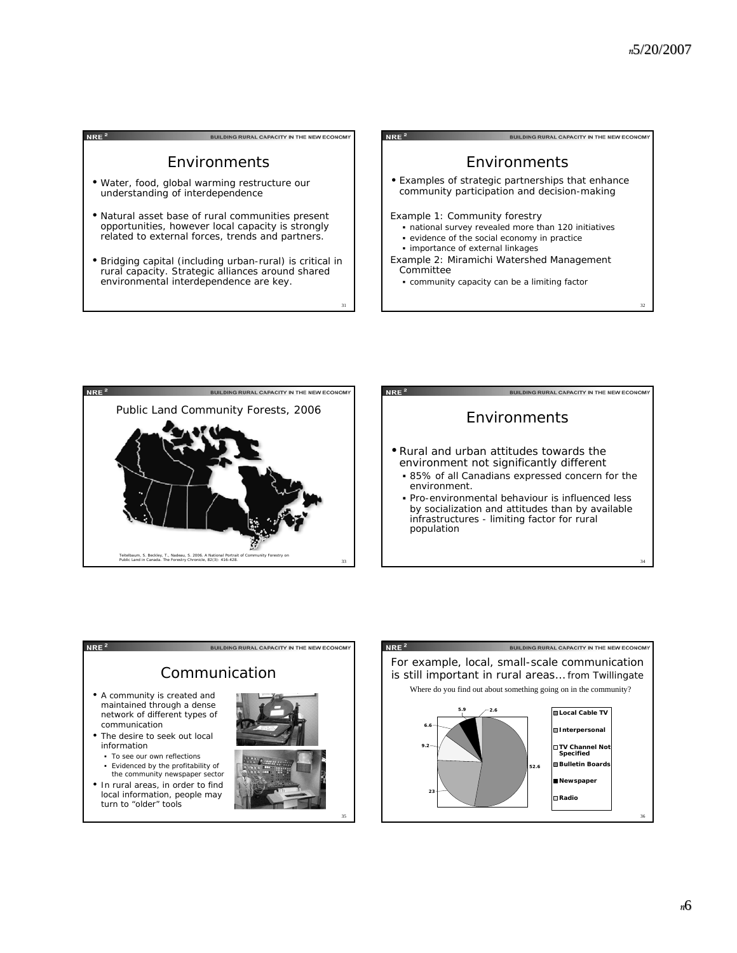





#### NRE $^2$

BUILDING RURAL CAPACITY IN THE NEW ECONOMY Communication • A community is created and maintained through a dense network of different types of communication • The desire to seek out local information To see our own reflections Evidenced by the profitability of the community newspaper sector

• In rural areas, in order to find local information, people may turn to "older" tools



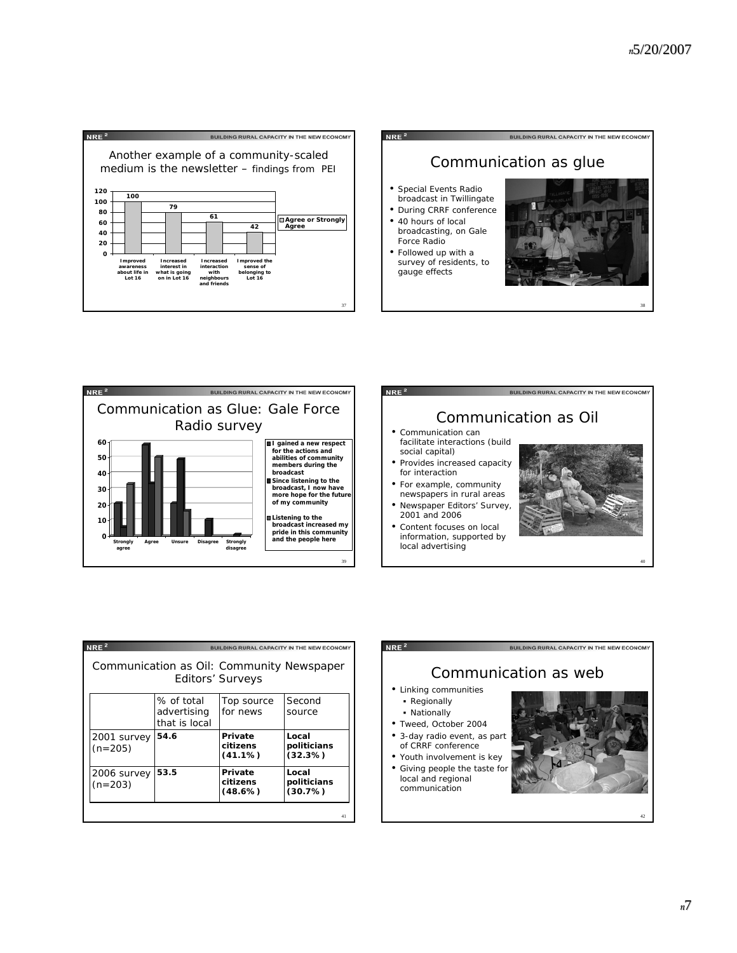38





| NRE <sup>2</sup><br><b>BUILDING RURAL CAPACITY IN THE NEW ECONOMY</b> |                              |                                   |                                 |  |
|-----------------------------------------------------------------------|------------------------------|-----------------------------------|---------------------------------|--|
| Communication as Oil: Community Newspaper<br>Editors' Surveys         |                              |                                   |                                 |  |
|                                                                       | % of total                   | Top source                        | Second                          |  |
|                                                                       | advertising<br>that is local | for news                          | source                          |  |
| 2001 survey<br>$(n=205)$                                              | 54.6                         | Private<br>citizens<br>$(41.1\%)$ | Local<br>politicians<br>(32.3%) |  |
| 2006 survey<br>$(n=203)$                                              | 53.5                         | Private<br>citizens<br>(48.6%)    | Local<br>politicians<br>(30.7%) |  |
|                                                                       |                              |                                   | 41                              |  |

## $NRE<sup>2</sup>$

#### BUILDING RURAL CAPACITY IN THE NEW ECONOMY

## Communication as web • Linking communities

- **Regionally**
- Nationally
- Tweed, October 2004
- 3-day radio event, as part of CRRF conference
- Youth involvement is key
- Giving people the taste for local and regional communication



42